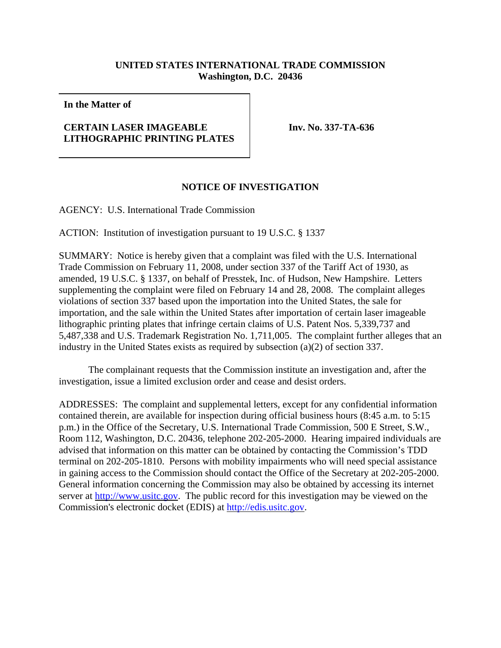## **UNITED STATES INTERNATIONAL TRADE COMMISSION Washington, D.C. 20436**

**In the Matter of**

## **CERTAIN LASER IMAGEABLE LITHOGRAPHIC PRINTING PLATES**

**Inv. No. 337-TA-636**

## **NOTICE OF INVESTIGATION**

AGENCY: U.S. International Trade Commission

ACTION: Institution of investigation pursuant to 19 U.S.C. § 1337

SUMMARY: Notice is hereby given that a complaint was filed with the U.S. International Trade Commission on February 11, 2008, under section 337 of the Tariff Act of 1930, as amended, 19 U.S.C. § 1337, on behalf of Presstek, Inc. of Hudson, New Hampshire. Letters supplementing the complaint were filed on February 14 and 28, 2008. The complaint alleges violations of section 337 based upon the importation into the United States, the sale for importation, and the sale within the United States after importation of certain laser imageable lithographic printing plates that infringe certain claims of U.S. Patent Nos. 5,339,737 and 5,487,338 and U.S. Trademark Registration No. 1,711,005. The complaint further alleges that an industry in the United States exists as required by subsection (a)(2) of section 337.

The complainant requests that the Commission institute an investigation and, after the investigation, issue a limited exclusion order and cease and desist orders.

ADDRESSES: The complaint and supplemental letters, except for any confidential information contained therein, are available for inspection during official business hours (8:45 a.m. to 5:15 p.m.) in the Office of the Secretary, U.S. International Trade Commission, 500 E Street, S.W., Room 112, Washington, D.C. 20436, telephone 202-205-2000. Hearing impaired individuals are advised that information on this matter can be obtained by contacting the Commission's TDD terminal on 202-205-1810. Persons with mobility impairments who will need special assistance in gaining access to the Commission should contact the Office of the Secretary at 202-205-2000. General information concerning the Commission may also be obtained by accessing its internet server at http://www.usitc.gov. The public record for this investigation may be viewed on the Commission's electronic docket (EDIS) at http://edis.usitc.gov.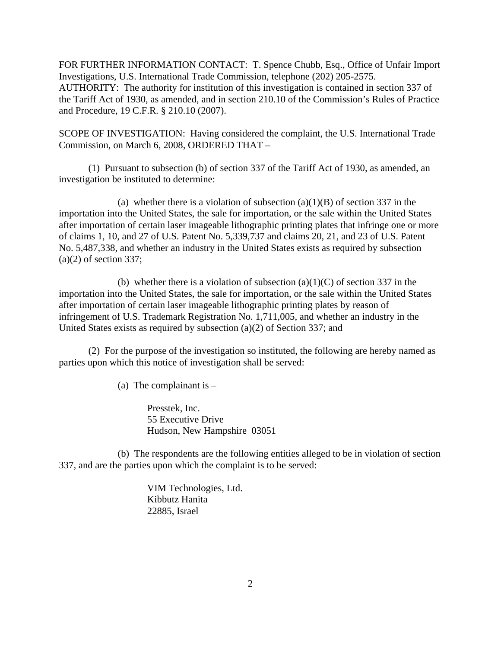FOR FURTHER INFORMATION CONTACT: T. Spence Chubb, Esq., Office of Unfair Import Investigations, U.S. International Trade Commission, telephone (202) 205-2575. AUTHORITY: The authority for institution of this investigation is contained in section 337 of the Tariff Act of 1930, as amended, and in section 210.10 of the Commission's Rules of Practice and Procedure, 19 C.F.R. § 210.10 (2007).

SCOPE OF INVESTIGATION: Having considered the complaint, the U.S. International Trade Commission, on March 6, 2008, ORDERED THAT –

(1) Pursuant to subsection (b) of section 337 of the Tariff Act of 1930, as amended, an investigation be instituted to determine:

(a) whether there is a violation of subsection  $(a)(1)(B)$  of section 337 in the importation into the United States, the sale for importation, or the sale within the United States after importation of certain laser imageable lithographic printing plates that infringe one or more of claims 1, 10, and 27 of U.S. Patent No. 5,339,737 and claims 20, 21, and 23 of U.S. Patent No. 5,487,338, and whether an industry in the United States exists as required by subsection  $(a)(2)$  of section 337;

(b) whether there is a violation of subsection  $(a)(1)(C)$  of section 337 in the importation into the United States, the sale for importation, or the sale within the United States after importation of certain laser imageable lithographic printing plates by reason of infringement of U.S. Trademark Registration No. 1,711,005, and whether an industry in the United States exists as required by subsection (a)(2) of Section 337; and

(2) For the purpose of the investigation so instituted, the following are hereby named as parties upon which this notice of investigation shall be served:

(a) The complainant is  $-$ 

Presstek, Inc. 55 Executive Drive Hudson, New Hampshire 03051

(b) The respondents are the following entities alleged to be in violation of section 337, and are the parties upon which the complaint is to be served:

> VIM Technologies, Ltd. Kibbutz Hanita 22885, Israel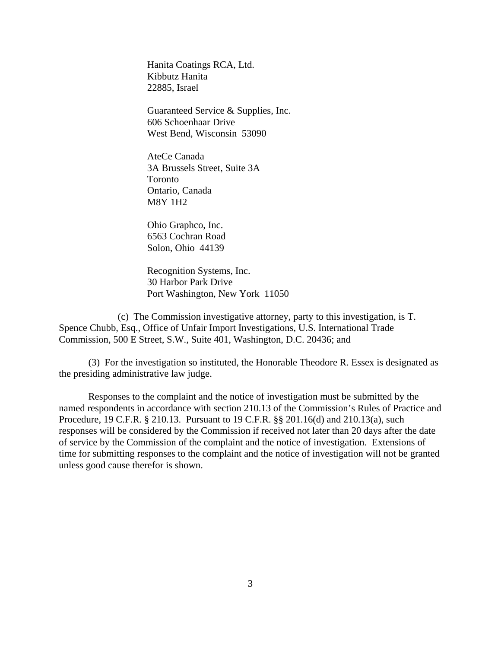Hanita Coatings RCA, Ltd. Kibbutz Hanita 22885, Israel

Guaranteed Service & Supplies, Inc. 606 Schoenhaar Drive West Bend, Wisconsin 53090

AteCe Canada 3A Brussels Street, Suite 3A Toronto Ontario, Canada M8Y 1H2

Ohio Graphco, Inc. 6563 Cochran Road Solon, Ohio 44139

Recognition Systems, Inc. 30 Harbor Park Drive Port Washington, New York 11050

(c) The Commission investigative attorney, party to this investigation, is T. Spence Chubb, Esq., Office of Unfair Import Investigations, U.S. International Trade Commission, 500 E Street, S.W., Suite 401, Washington, D.C. 20436; and

(3) For the investigation so instituted, the Honorable Theodore R. Essex is designated as the presiding administrative law judge.

Responses to the complaint and the notice of investigation must be submitted by the named respondents in accordance with section 210.13 of the Commission's Rules of Practice and Procedure, 19 C.F.R. § 210.13. Pursuant to 19 C.F.R. §§ 201.16(d) and 210.13(a), such responses will be considered by the Commission if received not later than 20 days after the date of service by the Commission of the complaint and the notice of investigation. Extensions of time for submitting responses to the complaint and the notice of investigation will not be granted unless good cause therefor is shown.